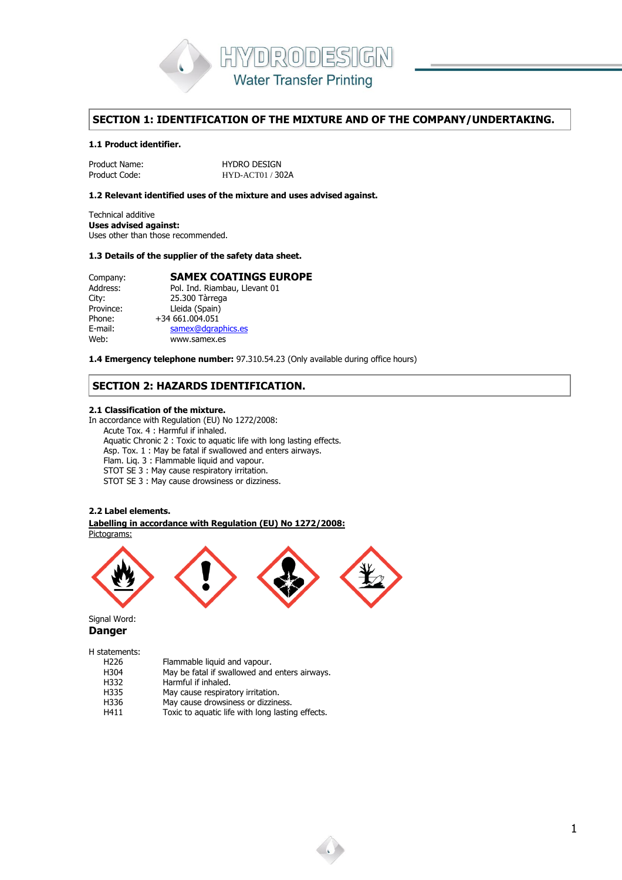

# **SECTION 1: IDENTIFICATION OF THE MIXTURE AND OF THE COMPANY/UNDERTAKING.**

# **1.1 Product identifier.**

Product Name: 
HYDRO DESIGN

Product Code:
HYD-ACT01/30 HYD-ACT01 / 302A

#### **1.2 Relevant identified uses of the mixture and uses advised against.**

Technical additive **Uses advised against:** Uses other than those recommended.

#### **1.3 Details of the supplier of the safety data sheet.**

| Company:  | <b>SAMEX COATINGS EUROPE</b>  |
|-----------|-------------------------------|
| Address:  | Pol. Ind. Riambau, Llevant 01 |
| City:     | 25.300 Tàrrega                |
| Province: | Lleida (Spain)                |
| Phone:    | +34 661.004.051               |
| E-mail:   | samex@dgraphics.es            |
| Web:      | www.samex.es                  |

**1.4 Emergency telephone number:** 97.310.54.23 (Only available during office hours)

# **SECTION 2: HAZARDS IDENTIFICATION.**

#### **2.1 Classification of the mixture.**

In accordance with Regulation (EU) No 1272/2008: Acute Tox. 4 : Harmful if inhaled. Aquatic Chronic 2 : Toxic to aquatic life with long lasting effects. Asp. Tox. 1 : May be fatal if swallowed and enters airways. Flam. Liq. 3 : Flammable liquid and vapour. STOT SE 3 : May cause respiratory irritation. STOT SE 3 : May cause drowsiness or dizziness.

## **2.2 Label elements.**

. . **Labelling in accordance with Regulation (EU) No 1272/2008:** Pictograms:



Signal Word: **Danger**

H statements:

| May be fatal if swallowed and enters airways.    |
|--------------------------------------------------|
|                                                  |
|                                                  |
|                                                  |
| Toxic to aquatic life with long lasting effects. |
|                                                  |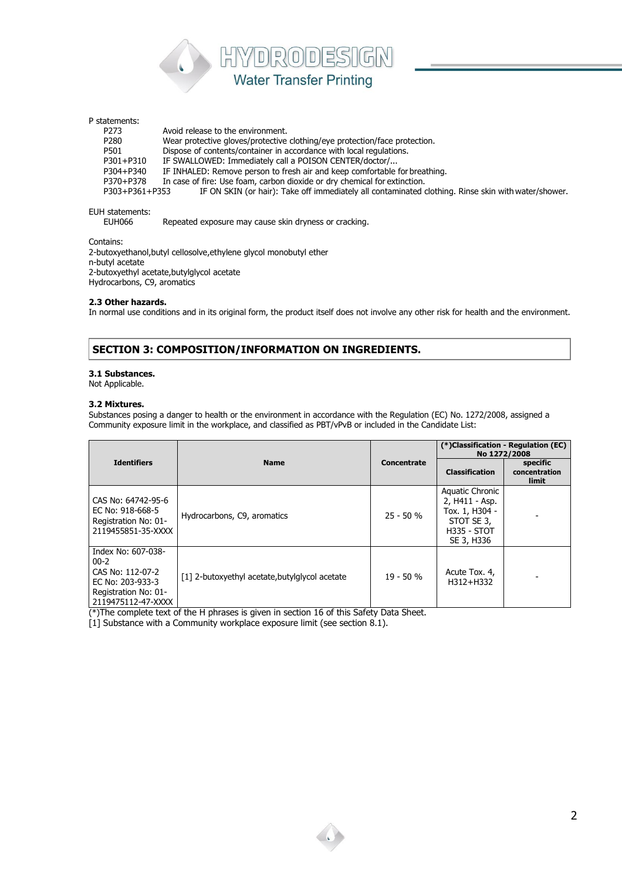

# P statements:

P273 Avoid release to the environment.<br>P280 Wear protective gloves/protective Wear protective gloves/protective clothing/eye protection/face protection. P501 Dispose of contents/container in accordance with local regulations.<br>P301+P310 IF SWALLOWED: Immediately call a POISON CENTER/doctor/... IF SWALLOWED: Immediately call a POISON CENTER/doctor/... P304+P340 IF INHALED: Remove person to fresh air and keep comfortable for breathing.<br>P370+P378 In case of fire: Use foam, carbon dioxide or dry chemical for extinction. P370+P378 In case of fire: Use foam, carbon dioxide or dry chemical for extinction.<br>P303+P361+P353 IF ON SKIN (or hair): Take off immediately all contaminated or IF ON SKIN (or hair): Take off immediately all contaminated clothing. Rinse skin with water/shower.

# EUH statements:<br>EUH066

Repeated exposure may cause skin dryness or cracking.

Contains:

2-butoxyethanol,butyl cellosolve,ethylene glycol monobutyl ether n-butyl acetate 2-butoxyethyl acetate,butylglycol acetate Hydrocarbons, C9, aromatics

#### **2.3 Other hazards.**

In normal use conditions and in its original form, the product itself does not involve any other risk for health and the environment.

# **SECTION 3: COMPOSITION/INFORMATION ON INGREDIENTS.**

#### **3.1 Substances.**

Not Applicable.

#### **3.2 Mixtures.**

Substances posing a danger to health or the environment in accordance with the Regulation (EC) No. 1272/2008, assigned a Community exposure limit in the workplace, and classified as PBT/vPvB or included in the Candidate List:

|                                                                                                                      |                                                |                    | (*)Classification - Regulation (EC)<br>No 1272/2008                                                   |                                           |
|----------------------------------------------------------------------------------------------------------------------|------------------------------------------------|--------------------|-------------------------------------------------------------------------------------------------------|-------------------------------------------|
| <b>Identifiers</b>                                                                                                   | <b>Name</b>                                    | <b>Concentrate</b> | <b>Classification</b>                                                                                 | specific<br>concentration<br><b>limit</b> |
| CAS No: 64742-95-6<br>EC No: 918-668-5<br>Registration No: 01-<br>2119455851-35-XXXX                                 | Hydrocarbons, C9, aromatics                    | $25 - 50 %$        | Aquatic Chronic<br>2, H411 - Asp.<br>Tox. 1, H304 -<br>STOT SE 3,<br><b>H335 - STOT</b><br>SE 3, H336 |                                           |
| Index No: 607-038-<br>$00 - 2$<br>CAS No: 112-07-2<br>EC No: 203-933-3<br>Registration No: 01-<br>2119475112-47-XXXX | [1] 2-butoxyethyl acetate, butylglycol acetate | $19 - 50%$         | Acute Tox. 4,<br>H312+H332                                                                            |                                           |

(\*)The complete text of the H phrases is given in section 16 of this Safety Data Sheet.

[1] Substance with a Community workplace exposure limit (see section 8.1).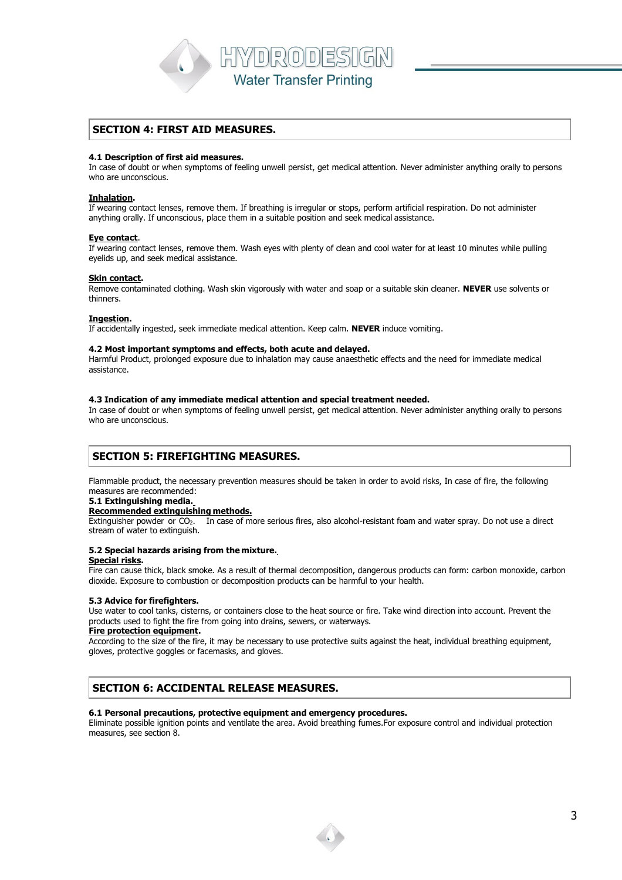HYDRODESIGN **Water Transfer Printing** 

# **SECTION 4: FIRST AID MEASURES.**

#### **4.1 Description of first aid measures.**

In case of doubt or when symptoms of feeling unwell persist, get medical attention. Never administer anything orally to persons who are unconscious.

#### **Inhalation.**

If wearing contact lenses, remove them. If breathing is irregular or stops, perform artificial respiration. Do not administer anything orally. If unconscious, place them in a suitable position and seek medical assistance.

#### **Eye contact**.

If wearing contact lenses, remove them. Wash eyes with plenty of clean and cool water for at least 10 minutes while pulling eyelids up, and seek medical assistance.

#### **Skin contact.**

Remove contaminated clothing. Wash skin vigorously with water and soap or a suitable skin cleaner. **NEVER** use solvents or thinners.

#### **Ingestion.**

If accidentally ingested, seek immediate medical attention. Keep calm. **NEVER** induce vomiting.

#### **4.2 Most important symptoms and effects, both acute and delayed.**

Harmful Product, prolonged exposure due to inhalation may cause anaesthetic effects and the need for immediate medical assistance.

#### **4.3 Indication of any immediate medical attention and special treatment needed.**

In case of doubt or when symptoms of feeling unwell persist, get medical attention. Never administer anything orally to persons who are unconscious.

# **SECTION 5: FIREFIGHTING MEASURES.**

Flammable product, the necessary prevention measures should be taken in order to avoid risks, In case of fire, the following measures are recommended:

#### **5.1 Extinguishing media.**

#### **Recommended extinguishing methods.**

Extinguisher powder or CO2. In case of more serious fires, also alcohol-resistant foam and water spray. Do not use a direct stream of water to extinguish.

## **5.2 Special hazards arising from the mixture.**

## **Special risks.**

Fire can cause thick, black smoke. As a result of thermal decomposition, dangerous products can form: carbon monoxide, carbon dioxide. Exposure to combustion or decomposition products can be harmful to your health.

## **5.3 Advice for firefighters.**

Use water to cool tanks, cisterns, or containers close to the heat source or fire. Take wind direction into account. Prevent the products used to fight the fire from going into drains, sewers, or waterways.

#### **Fire protection equipment.**

According to the size of the fire, it may be necessary to use protective suits against the heat, individual breathing equipment, gloves, protective goggles or facemasks, and gloves.

# **SECTION 6: ACCIDENTAL RELEASE MEASURES.**

## **6.1 Personal precautions, protective equipment and emergency procedures.**

Eliminate possible ignition points and ventilate the area. Avoid breathing fumes.For exposure control and individual protection measures, see section 8.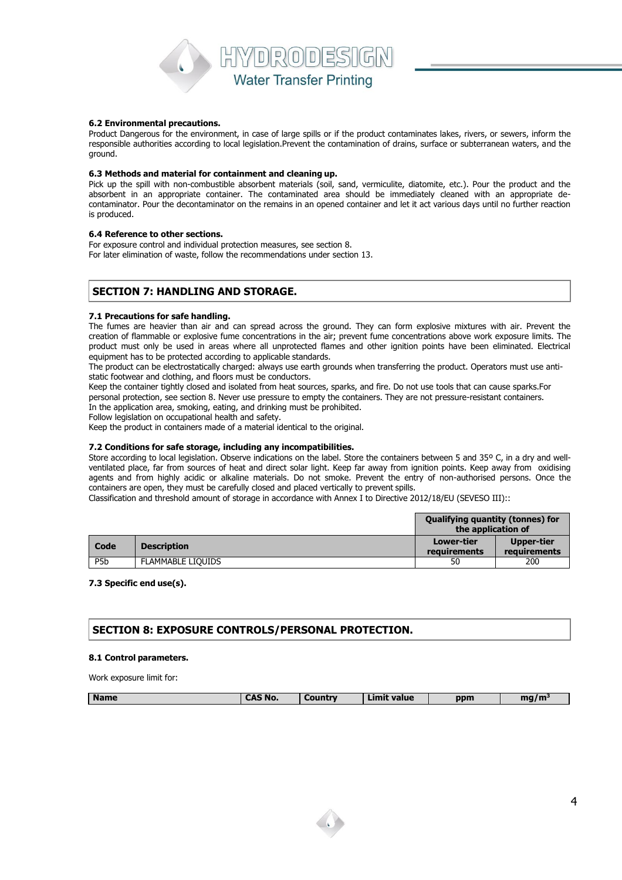

#### **6.2 Environmental precautions.**

Product Dangerous for the environment, in case of large spills or if the product contaminates lakes, rivers, or sewers, inform the responsible authorities according to local legislation.Prevent the contamination of drains, surface or subterranean waters, and the ground.

#### **6.3 Methods and material for containment and cleaning up.**

Pick up the spill with non-combustible absorbent materials (soil, sand, vermiculite, diatomite, etc.). Pour the product and the absorbent in an appropriate container. The contaminated area should be immediately cleaned with an appropriate decontaminator. Pour the decontaminator on the remains in an opened container and let it act various days until no further reaction is produced.

#### **6.4 Reference to other sections.**

For exposure control and individual protection measures, see section 8. For later elimination of waste, follow the recommendations under section 13.

# **SECTION 7: HANDLING AND STORAGE.**

#### **7.1 Precautions for safe handling.**

The fumes are heavier than air and can spread across the ground. They can form explosive mixtures with air. Prevent the creation of flammable or explosive fume concentrations in the air; prevent fume concentrations above work exposure limits. The product must only be used in areas where all unprotected flames and other ignition points have been eliminated. Electrical equipment has to be protected according to applicable standards.

The product can be electrostatically charged: always use earth grounds when transferring the product. Operators must use antistatic footwear and clothing, and floors must be conductors.

Keep the container tightly closed and isolated from heat sources, sparks, and fire. Do not use tools that can cause sparks.For personal protection, see section 8. Never use pressure to empty the containers. They are not pressure-resistant containers. In the application area, smoking, eating, and drinking must be prohibited.

Follow legislation on occupational health and safety.

Keep the product in containers made of a material identical to the original.

## **7.2 Conditions for safe storage, including any incompatibilities.**

Store according to local legislation. Observe indications on the label. Store the containers between 5 and 35° C, in a dry and wellventilated place, far from sources of heat and direct solar light. Keep far away from ignition points. Keep away from oxidising agents and from highly acidic or alkaline materials. Do not smoke. Prevent the entry of non-authorised persons. Once the containers are open, they must be carefully closed and placed vertically to prevent spills.

Classification and threshold amount of storage in accordance with Annex I to Directive 2012/18/EU (SEVESO III)::

|                  |                          | <b>Qualifying quantity (tonnes) for</b><br>the application of |                            |
|------------------|--------------------------|---------------------------------------------------------------|----------------------------|
| Code             | <b>Description</b>       | Lower-tier<br>requirements                                    | Upper-tier<br>requirements |
| P <sub>5</sub> b | <b>FLAMMABLE LIOUIDS</b> | 50                                                            | 200                        |

#### **7.3 Specific end use(s).**

## **SECTION 8: EXPOSURE CONTROLS/PERSONAL PROTECTION.**

#### **8.1 Control parameters.**

Work exposure limit for:

| <b>Name</b> | -----<br>No.<br>$\blacksquare$ | nuntry | $\overline{\phantom{a}}$<br>-----<br>value | ppm | . .<br>- - |
|-------------|--------------------------------|--------|--------------------------------------------|-----|------------|
|             |                                |        |                                            |     |            |

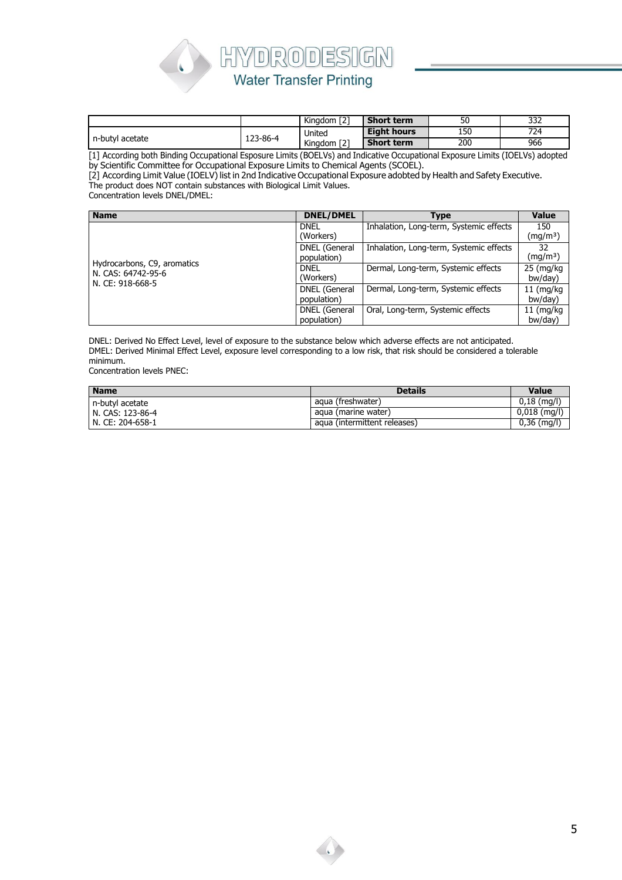

|                 |          | ררז<br>$\cdots$<br>Kingdom   2 | <b>Short term</b>  | 50  | 332 |
|-----------------|----------|--------------------------------|--------------------|-----|-----|
|                 |          | United                         | <b>Eight hours</b> | 150 | 724 |
| n-butyl acetate | 123-86-4 | ED.<br>$\cdot$<br>Kingdom [2]  | <b>Short term</b>  | 200 | 966 |

[1] According both Binding Occupational Esposure Limits (BOELVs) and Indicative Occupational Exposure Limits (IOELVs) adopted by Scientific Committee for Occupational Exposure Limits to Chemical Agents (SCOEL).

[2] According Limit Value (IOELV) list in 2nd Indicative Occupational Exposure adobted by Health and Safety Executive.

The product does NOT contain substances with Biological Limit Values.

Concentration levels DNEL/DMEL:

| <b>Name</b>                                                           | <b>DNEL/DMEL</b>             | Type                                    | <b>Value</b>                |
|-----------------------------------------------------------------------|------------------------------|-----------------------------------------|-----------------------------|
|                                                                       | <b>DNEL</b><br>(Workers)     | Inhalation, Long-term, Systemic effects | 150<br>(mq/m <sup>3</sup> ) |
|                                                                       | DNEL (General<br>population) | Inhalation, Long-term, Systemic effects | 32<br>(mq/m <sup>3</sup> )  |
| Hydrocarbons, C9, aromatics<br>N. CAS: 64742-95-6<br>N. CE: 918-668-5 | <b>DNEL</b><br>(Workers)     | Dermal, Long-term, Systemic effects     | 25 (mg/kg)<br>bw/day)       |
|                                                                       | DNEL (General<br>population) | Dermal, Long-term, Systemic effects     | $11$ (mg/kg<br>bw/day)      |
|                                                                       | DNEL (General<br>population) | Oral, Long-term, Systemic effects       | $11$ (mg/kg<br>bw/day)      |

DNEL: Derived No Effect Level, level of exposure to the substance below which adverse effects are not anticipated. DMEL: Derived Minimal Effect Level, exposure level corresponding to a low risk, that risk should be considered a tolerable minimum.

Concentration levels PNEC:

| <b>Name</b>      | <b>Details</b>               | <b>Value</b>   |
|------------------|------------------------------|----------------|
| n-butyl acetate  | agua (freshwater)            | $0,18$ (mg/l)  |
| N. CAS: 123-86-4 | agua (marine water)          | $0,018$ (mg/l) |
| N. CE: 204-658-1 | aqua (intermittent releases) | $0,36$ (mg/l)  |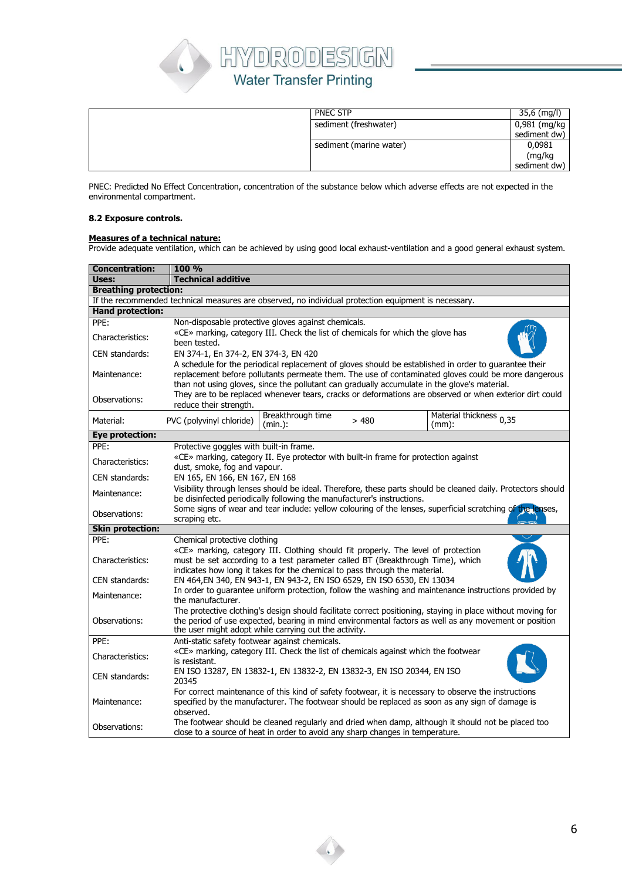

| <b>PNEC STP</b>         | 35,6 (mg/l)  |
|-------------------------|--------------|
| sediment (freshwater)   | 0,981 (mg/kg |
|                         | sediment dw) |
| sediment (marine water) | 0,0981       |
|                         | (mg/kg       |
|                         | sediment dw) |

PNEC: Predicted No Effect Concentration, concentration of the substance below which adverse effects are not expected in the environmental compartment.

## **8.2 Exposure controls.**

#### **Measures of a technical nature:**

Provide adequate ventilation, which can be achieved by using good local exhaust-ventilation and a good general exhaust system.

| <b>Concentration:</b>        | 100 %                                                                                                                                                                                                                                                                                                        |  |  |  |  |
|------------------------------|--------------------------------------------------------------------------------------------------------------------------------------------------------------------------------------------------------------------------------------------------------------------------------------------------------------|--|--|--|--|
| Uses:                        | <b>Technical additive</b>                                                                                                                                                                                                                                                                                    |  |  |  |  |
| <b>Breathing protection:</b> |                                                                                                                                                                                                                                                                                                              |  |  |  |  |
|                              | If the recommended technical measures are observed, no individual protection equipment is necessary.                                                                                                                                                                                                         |  |  |  |  |
| <b>Hand protection:</b>      |                                                                                                                                                                                                                                                                                                              |  |  |  |  |
| PPE:                         | Non-disposable protective gloves against chemicals.                                                                                                                                                                                                                                                          |  |  |  |  |
| Characteristics:             | «CE» marking, category III. Check the list of chemicals for which the glove has<br>been tested.                                                                                                                                                                                                              |  |  |  |  |
| CEN standards:               | EN 374-1, En 374-2, EN 374-3, EN 420                                                                                                                                                                                                                                                                         |  |  |  |  |
| Maintenance:                 | A schedule for the periodical replacement of gloves should be established in order to guarantee their<br>replacement before pollutants permeate them. The use of contaminated gloves could be more dangerous<br>than not using gloves, since the pollutant can gradually accumulate in the glove's material. |  |  |  |  |
| Observations:                | They are to be replaced whenever tears, cracks or deformations are observed or when exterior dirt could<br>reduce their strength.                                                                                                                                                                            |  |  |  |  |
| Material:                    | Breakthrough time<br>Material thickness 0,35<br>PVC (polyvinyl chloride)<br>>480<br>(min.):<br>(mm):                                                                                                                                                                                                         |  |  |  |  |
| <b>Eye protection:</b>       |                                                                                                                                                                                                                                                                                                              |  |  |  |  |
| PPE:                         | Protective goggles with built-in frame.                                                                                                                                                                                                                                                                      |  |  |  |  |
| Characteristics:             | «CE» marking, category II. Eye protector with built-in frame for protection against<br>dust, smoke, fog and vapour.                                                                                                                                                                                          |  |  |  |  |
| CEN standards:               | EN 165, EN 166, EN 167, EN 168                                                                                                                                                                                                                                                                               |  |  |  |  |
| Maintenance:                 | Visibility through lenses should be ideal. Therefore, these parts should be cleaned daily. Protectors should<br>be disinfected periodically following the manufacturer's instructions.                                                                                                                       |  |  |  |  |
| Observations:                | Some signs of wear and tear include: yellow colouring of the lenses, superficial scratching of the lenses,<br>scraping etc.                                                                                                                                                                                  |  |  |  |  |
| <b>Skin protection:</b>      |                                                                                                                                                                                                                                                                                                              |  |  |  |  |
| PPE:                         | Chemical protective clothing                                                                                                                                                                                                                                                                                 |  |  |  |  |
| Characteristics:             | «CE» marking, category III. Clothing should fit properly. The level of protection<br>must be set according to a test parameter called BT (Breakthrough Time), which<br>indicates how long it takes for the chemical to pass through the material.                                                            |  |  |  |  |
| CEN standards:               | EN 464, EN 340, EN 943-1, EN 943-2, EN ISO 6529, EN ISO 6530, EN 13034                                                                                                                                                                                                                                       |  |  |  |  |
|                              | In order to guarantee uniform protection, follow the washing and maintenance instructions provided by                                                                                                                                                                                                        |  |  |  |  |
| Maintenance:                 | the manufacturer.                                                                                                                                                                                                                                                                                            |  |  |  |  |
| Observations:                | The protective clothing's design should facilitate correct positioning, staying in place without moving for<br>the period of use expected, bearing in mind environmental factors as well as any movement or position<br>the user might adopt while carrying out the activity.                                |  |  |  |  |
| PPE:                         | Anti-static safety footwear against chemicals.                                                                                                                                                                                                                                                               |  |  |  |  |
| Characteristics:             | «CE» marking, category III. Check the list of chemicals against which the footwear<br>is resistant.                                                                                                                                                                                                          |  |  |  |  |
| CEN standards:               | EN ISO 13287, EN 13832-1, EN 13832-2, EN 13832-3, EN ISO 20344, EN ISO<br>20345                                                                                                                                                                                                                              |  |  |  |  |
| Maintenance:                 | For correct maintenance of this kind of safety footwear, it is necessary to observe the instructions<br>specified by the manufacturer. The footwear should be replaced as soon as any sign of damage is<br>observed.                                                                                         |  |  |  |  |
| Observations:                | The footwear should be cleaned regularly and dried when damp, although it should not be placed too<br>close to a source of heat in order to avoid any sharp changes in temperature.                                                                                                                          |  |  |  |  |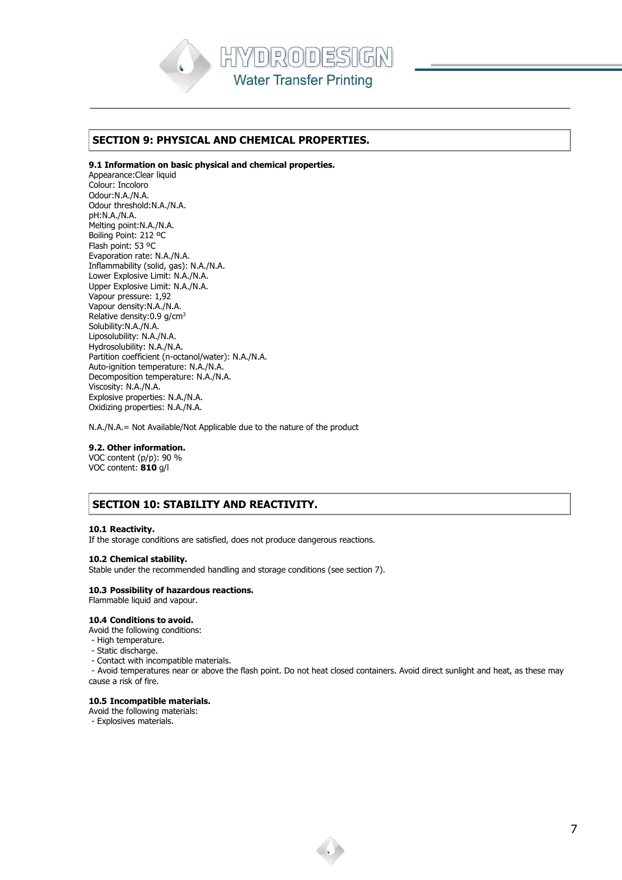

## **SECTION 9: PHYSICAL AND CHEMICAL PROPERTIES.**

#### **9.1 Information on basic physical and chemical properties.**

Appearance:Clear liquid Colour: Incoloro Odour:N.A./N.A. Odour threshold:N.A./N.A. pH:N.A./N.A. Melting point:N.A./N.A. Boiling Point: 212 ºC Flash point: 53 ºC Evaporation rate: N.A./N.A. Inflammability (solid, gas): N.A./N.A. Lower Explosive Limit: N.A./N.A. Upper Explosive Limit: N.A./N.A. Vapour pressure: 1,92 Vapour density:N.A./N.A. Relative density:0.9 g/cm<sup>3</sup> Solubility:N.A./N.A. Liposolubility: N.A./N.A. Hydrosolubility: N.A./N.A. Partition coefficient (n-octanol/water): N.A./N.A. Auto-ignition temperature: N.A./N.A. Decomposition temperature: N.A./N.A. Viscosity: N.A./N.A. Explosive properties: N.A./N.A. Oxidizing properties: N.A./N.A.

N.A./N.A.= Not Available/Not Applicable due to the nature of the product

#### **9.2. Other information.**

VOC content (p/p): 90 % VOC content: **810** g/l

# **SECTION 10: STABILITY AND REACTIVITY.**

#### **10.1 Reactivity.**

If the storage conditions are satisfied, does not produce dangerous reactions.

#### **10.2 Chemical stability.**

Stable under the recommended handling and storage conditions (see section 7).

## **10.3 Possibility of hazardous reactions.**

Flammable liquid and vapour.

## **10.4 Conditions to avoid.**

Avoid the following conditions:

- High temperature.
- Static discharge.
- Contact with incompatible materials.

- Avoid temperatures near or above the flash point. Do not heat closed containers. Avoid direct sunlight and heat, as these may cause a risk of fire.

#### **10.5 Incompatible materials.**

- Avoid the following materials:
- Explosives materials.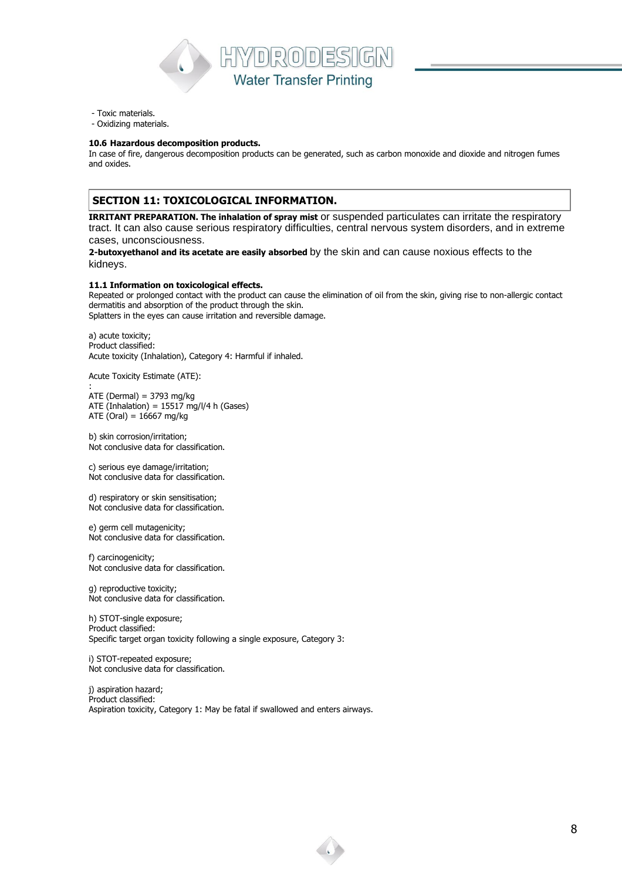

- Toxic materials.
- Oxidizing materials.

#### **10.6 Hazardous decomposition products.**

In case of fire, dangerous decomposition products can be generated, such as carbon monoxide and dioxide and nitrogen fumes and oxides.

# **SECTION 11: TOXICOLOGICAL INFORMATION.**

**IRRITANT PREPARATION. The inhalation of spray mist** or suspended particulates can irritate the respiratory tract. It can also cause serious respiratory difficulties, central nervous system disorders, and in extreme cases, unconsciousness.

**2-butoxyethanol and its acetate are easily absorbed** by the skin and can cause noxious effects to the kidneys.

#### **11.1 Information on toxicological effects.**

Repeated or prolonged contact with the product can cause the elimination of oil from the skin, giving rise to non-allergic contact dermatitis and absorption of the product through the skin. Splatters in the eyes can cause irritation and reversible damage.

a) acute toxicity; Product classified: Acute toxicity (Inhalation), Category 4: Harmful if inhaled.

Acute Toxicity Estimate (ATE):

:  $ATE (Dermal) = 3793 mg/kg$ ATE (Inhalation) =  $15517$  mg/l/4 h (Gases) ATE (Oral) =  $16667$  mg/kg

b) skin corrosion/irritation; Not conclusive data for classification.

c) serious eye damage/irritation; Not conclusive data for classification.

d) respiratory or skin sensitisation; Not conclusive data for classification.

e) germ cell mutagenicity; Not conclusive data for classification.

f) carcinogenicity; Not conclusive data for classification.

g) reproductive toxicity; Not conclusive data for classification.

h) STOT-single exposure; Product classified: Specific target organ toxicity following a single exposure, Category 3:

i) STOT-repeated exposure; Not conclusive data for classification.

j) aspiration hazard; Product classified: Aspiration toxicity, Category 1: May be fatal if swallowed and enters airways.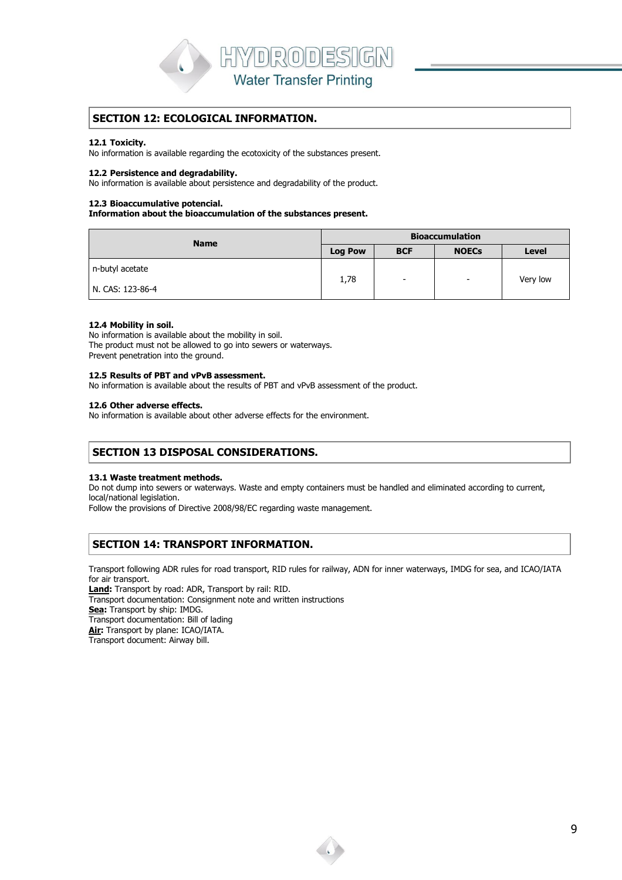

## **SECTION 12: ECOLOGICAL INFORMATION.**

#### **12.1 Toxicity.**

No information is available regarding the ecotoxicity of the substances present.

#### **12.2 Persistence and degradability.**

No information is available about persistence and degradability of the product.

#### **12.3 Bioaccumulative potencial.**

**Information about the bioaccumulation of the substances present.**

| <b>Name</b>      | <b>Bioaccumulation</b>                       |                          |                          |              |
|------------------|----------------------------------------------|--------------------------|--------------------------|--------------|
|                  | <b>Log Pow</b><br><b>BCF</b><br><b>NOECs</b> |                          |                          | <b>Level</b> |
| n-butyl acetate  | 1,78                                         | $\overline{\phantom{0}}$ | $\overline{\phantom{0}}$ | Very low     |
| N. CAS: 123-86-4 |                                              |                          |                          |              |

#### **12.4 Mobility in soil.**

No information is available about the mobility in soil. The product must not be allowed to go into sewers or waterways. Prevent penetration into the ground.

#### **12.5 Results of PBT and vPvB assessment.**

No information is available about the results of PBT and vPvB assessment of the product.

#### **12.6 Other adverse effects.**

No information is available about other adverse effects for the environment.

## **SECTION 13 DISPOSAL CONSIDERATIONS.**

#### **13.1 Waste treatment methods.**

Do not dump into sewers or waterways. Waste and empty containers must be handled and eliminated according to current, local/national legislation.

Follow the provisions of Directive 2008/98/EC regarding waste management.

# **SECTION 14: TRANSPORT INFORMATION.**

Transport following ADR rules for road transport, RID rules for railway, ADN for inner waterways, IMDG for sea, and ICAO/IATA for air transport.

**Land:** Transport by road: ADR, Transport by rail: RID.

Transport documentation: Consignment note and written instructions

**Sea:** Transport by ship: IMDG.

Transport documentation: Bill of lading

**Air:** Transport by plane: ICAO/IATA. Transport document: Airway bill.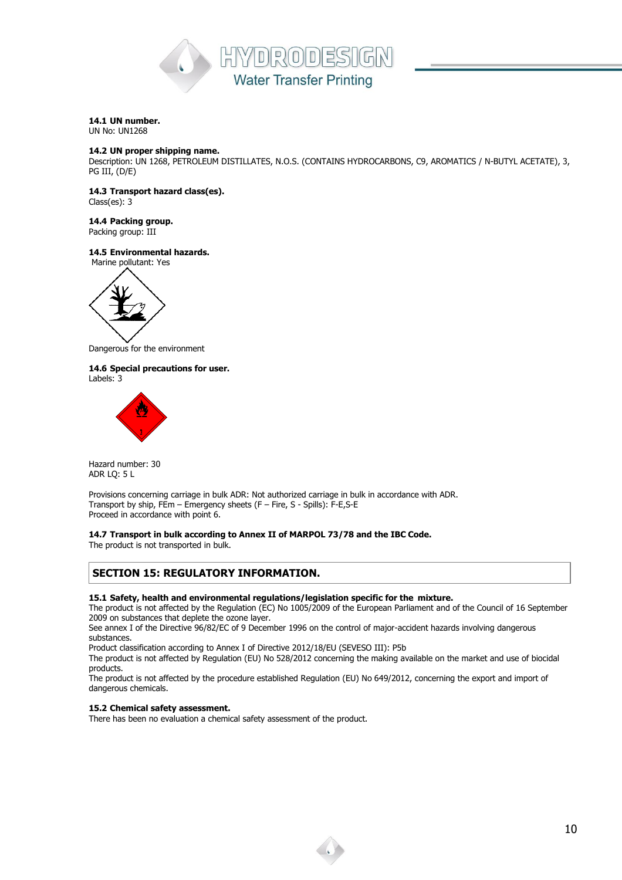

## **14.1 UN number.**

UN No: UN1268

#### **14.2 UN proper shipping name.**

Description: UN 1268, PETROLEUM DISTILLATES, N.O.S. (CONTAINS HYDROCARBONS, C9, AROMATICS / N-BUTYL ACETATE), 3, PG III, (D/E)

**14.3 Transport hazard class(es).**

Class(es): 3

## **14.4 Packing group.**

Packing group: III

## **14.5 Environmental hazards.**



Dangerous for the environment

**14.6 Special precautions for user.** Labels: 3



Hazard number: 30 ADR LQ: 5 L

Provisions concerning carriage in bulk ADR: Not authorized carriage in bulk in accordance with ADR. Transport by ship, FEm – Emergency sheets (F – Fire, S - Spills): F-E,S-E Proceed in accordance with point 6.

**14.7 Transport in bulk according to Annex II of MARPOL 73/78 and the IBC Code.** The product is not transported in bulk.

**SECTION 15: REGULATORY INFORMATION.**

## **15.1 Safety, health and environmental regulations/legislation specific for the mixture.**

The product is not affected by the Regulation (EC) No 1005/2009 of the European Parliament and of the Council of 16 September 2009 on substances that deplete the ozone layer.

See annex I of the Directive 96/82/EC of 9 December 1996 on the control of major-accident hazards involving dangerous substances.

Product classification according to Annex I of Directive 2012/18/EU (SEVESO III): P5b

The product is not affected by Regulation (EU) No 528/2012 concerning the making available on the market and use of biocidal products.

The product is not affected by the procedure established Regulation (EU) No 649/2012, concerning the export and import of dangerous chemicals.

## **15.2 Chemical safety assessment.**

There has been no evaluation a chemical safety assessment of the product.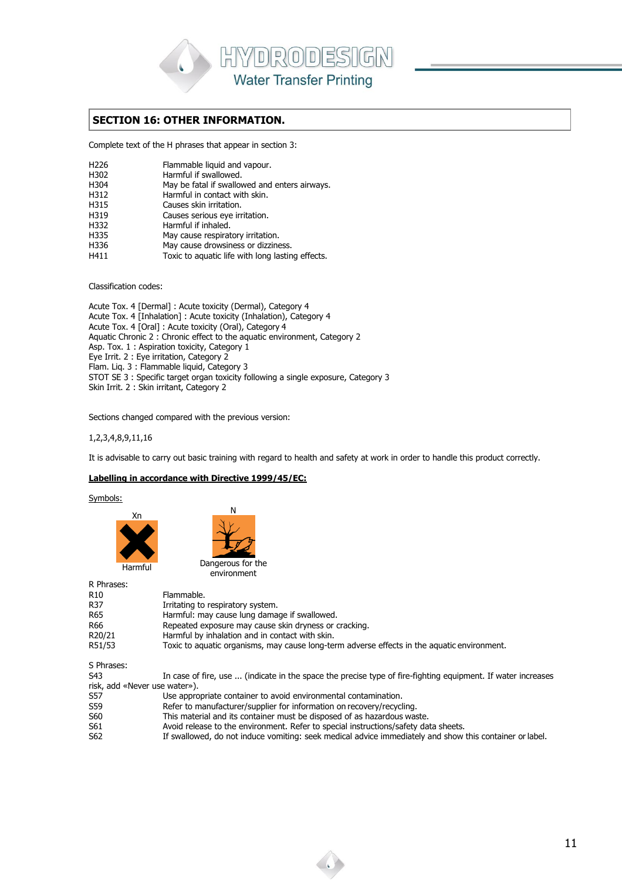

## **SECTION 16: OTHER INFORMATION.**

Complete text of the H phrases that appear in section 3:

| H226 | Flammable liquid and vapour. |  |  |
|------|------------------------------|--|--|
|      |                              |  |  |

- H302 Harmful if swallowed.<br>H304 May be fatal if swallow
- May be fatal if swallowed and enters airways.
- H312 Harmful in contact with skin.<br>H315 Causes skin irritation. Causes skin irritation.
- 
- H319 Causes serious eye irritation.<br>H332 Harmful if inhaled.
- H332 Harmful if inhaled.<br>H335 May cause respirat
- H335 May cause respiratory irritation.<br>H336 May cause drowsiness or dizzine May cause drowsiness or dizziness.
- H411 Toxic to aquatic life with long lasting effects.

Classification codes:

Acute Tox. 4 [Dermal] : Acute toxicity (Dermal), Category 4 Acute Tox. 4 [Inhalation] : Acute toxicity (Inhalation), Category 4 Acute Tox. 4 [Oral] : Acute toxicity (Oral), Category 4 Aquatic Chronic 2 : Chronic effect to the aquatic environment, Category 2 Asp. Tox. 1 : Aspiration toxicity, Category 1 Eye Irrit. 2 : Eye irritation, Category 2 Flam. Liq. 3 : Flammable liquid, Category 3 STOT SE 3 : Specific target organ toxicity following a single exposure, Category 3 Skin Irrit. 2 : Skin irritant, Category 2

Sections changed compared with the previous version:

1,2,3,4,8,9,11,16

It is advisable to carry out basic training with regard to health and safety at work in order to handle this product correctly.

## **Labelling in accordance with Directive 1999/45/EC:**

Symbols:



Dangerous for the environment

N

| R Phrases:                    |                                                                                                              |
|-------------------------------|--------------------------------------------------------------------------------------------------------------|
| R <sub>10</sub>               | Flammable.                                                                                                   |
| R37                           | Irritating to respiratory system.                                                                            |
| R65                           | Harmful: may cause lung damage if swallowed.                                                                 |
| R66                           | Repeated exposure may cause skin dryness or cracking.                                                        |
| R20/21                        | Harmful by inhalation and in contact with skin.                                                              |
| R51/53                        | Toxic to aquatic organisms, may cause long-term adverse effects in the aquatic environment.                  |
| S Phrases:                    |                                                                                                              |
| S43                           | In case of fire, use  (indicate in the space the precise type of fire-fighting equipment. If water increases |
| risk, add «Never use water»). |                                                                                                              |
| S57                           | Use appropriate container to avoid environmental contamination.                                              |
| S59                           | Refer to manufacturer/supplier for information on recovery/recycling.                                        |
| S60                           | This material and its container must be disposed of as hazardous waste.                                      |
| S61                           | Avoid release to the environment. Refer to special instructions/safety data sheets.                          |
| S62                           | If swallowed, do not induce vomiting: seek medical advice immediately and show this container or label.      |
|                               |                                                                                                              |